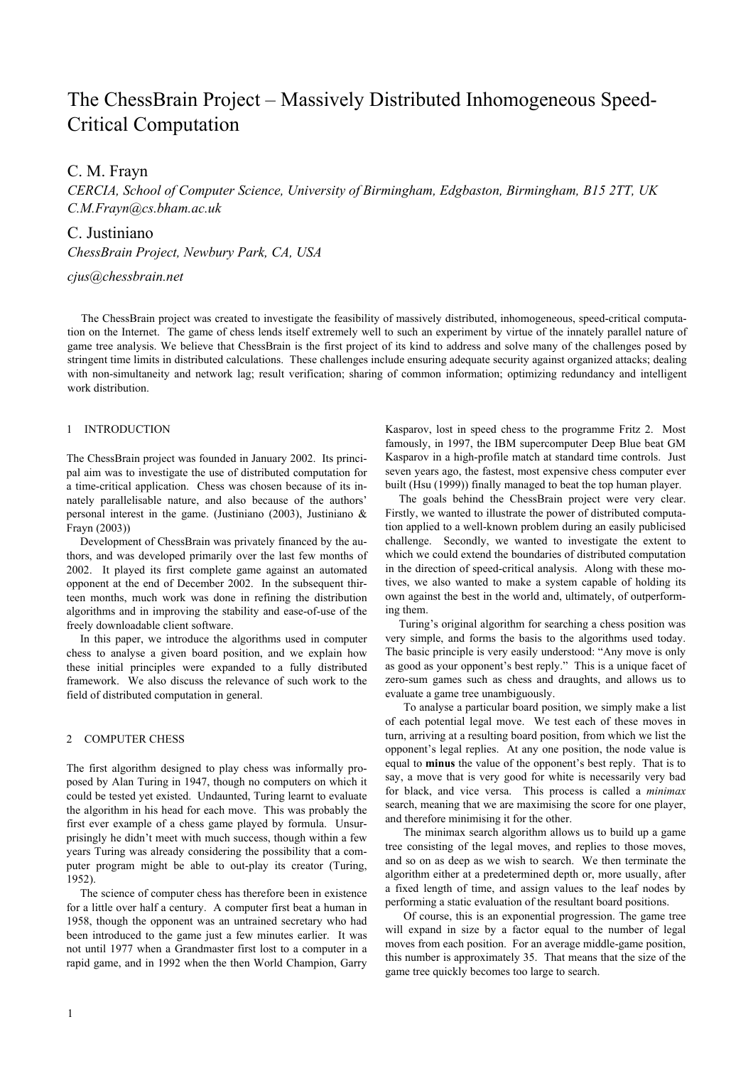# The ChessBrain Project – Massively Distributed Inhomogeneous Speed-Critical Computation

# C. M. Frayn

*CERCIA, School of Computer Science, University of Birmingham, Edgbaston, Birmingham, B15 2TT, UK C.M.Frayn@cs.bham.ac.uk* 

# C. Justiniano

*ChessBrain Project, Newbury Park, CA, USA* 

# *cjus@chessbrain.net*

The ChessBrain project was created to investigate the feasibility of massively distributed, inhomogeneous, speed-critical computation on the Internet. The game of chess lends itself extremely well to such an experiment by virtue of the innately parallel nature of game tree analysis. We believe that ChessBrain is the first project of its kind to address and solve many of the challenges posed by stringent time limits in distributed calculations. These challenges include ensuring adequate security against organized attacks; dealing with non-simultaneity and network lag; result verification; sharing of common information; optimizing redundancy and intelligent work distribution.

## 1 INTRODUCTION

The ChessBrain project was founded in January 2002. Its principal aim was to investigate the use of distributed computation for a time-critical application. Chess was chosen because of its innately parallelisable nature, and also because of the authors' personal interest in the game. (Justiniano (2003), Justiniano & Frayn (2003))

Development of ChessBrain was privately financed by the authors, and was developed primarily over the last few months of 2002. It played its first complete game against an automated opponent at the end of December 2002. In the subsequent thirteen months, much work was done in refining the distribution algorithms and in improving the stability and ease-of-use of the freely downloadable client software.

In this paper, we introduce the algorithms used in computer chess to analyse a given board position, and we explain how these initial principles were expanded to a fully distributed framework. We also discuss the relevance of such work to the field of distributed computation in general.

# 2 COMPUTER CHESS

The first algorithm designed to play chess was informally proposed by Alan Turing in 1947, though no computers on which it could be tested yet existed. Undaunted, Turing learnt to evaluate the algorithm in his head for each move. This was probably the first ever example of a chess game played by formula. Unsurprisingly he didn't meet with much success, though within a few years Turing was already considering the possibility that a computer program might be able to out-play its creator (Turing, 1952).

The science of computer chess has therefore been in existence for a little over half a century. A computer first beat a human in 1958, though the opponent was an untrained secretary who had been introduced to the game just a few minutes earlier. It was not until 1977 when a Grandmaster first lost to a computer in a rapid game, and in 1992 when the then World Champion, Garry

Kasparov, lost in speed chess to the programme Fritz 2. Most famously, in 1997, the IBM supercomputer Deep Blue beat GM Kasparov in a high-profile match at standard time controls. Just seven years ago, the fastest, most expensive chess computer ever built (Hsu (1999)) finally managed to beat the top human player.

The goals behind the ChessBrain project were very clear. Firstly, we wanted to illustrate the power of distributed computation applied to a well-known problem during an easily publicised challenge. Secondly, we wanted to investigate the extent to which we could extend the boundaries of distributed computation in the direction of speed-critical analysis. Along with these motives, we also wanted to make a system capable of holding its own against the best in the world and, ultimately, of outperforming them.

Turing's original algorithm for searching a chess position was very simple, and forms the basis to the algorithms used today. The basic principle is very easily understood: "Any move is only as good as your opponent's best reply." This is a unique facet of zero-sum games such as chess and draughts, and allows us to evaluate a game tree unambiguously.

To analyse a particular board position, we simply make a list of each potential legal move. We test each of these moves in turn, arriving at a resulting board position, from which we list the opponent's legal replies. At any one position, the node value is equal to **minus** the value of the opponent's best reply. That is to say, a move that is very good for white is necessarily very bad for black, and vice versa. This process is called a *minimax*  search, meaning that we are maximising the score for one player, and therefore minimising it for the other.

The minimax search algorithm allows us to build up a game tree consisting of the legal moves, and replies to those moves, and so on as deep as we wish to search. We then terminate the algorithm either at a predetermined depth or, more usually, after a fixed length of time, and assign values to the leaf nodes by performing a static evaluation of the resultant board positions.

Of course, this is an exponential progression. The game tree will expand in size by a factor equal to the number of legal moves from each position. For an average middle-game position, this number is approximately 35. That means that the size of the game tree quickly becomes too large to search.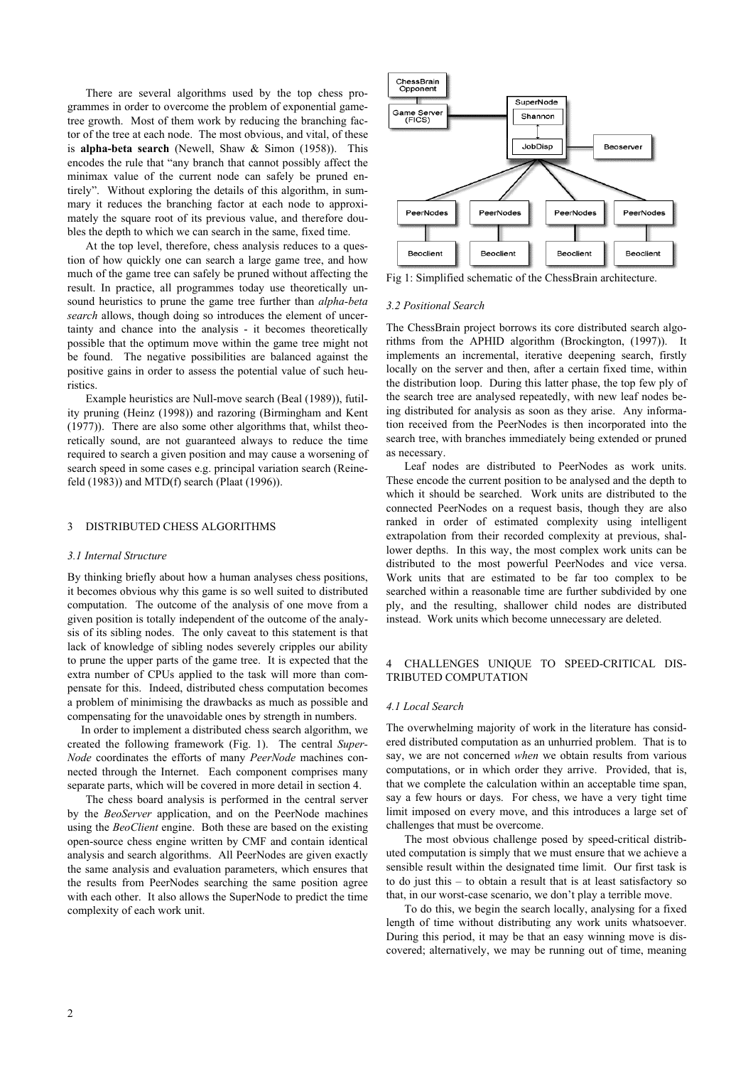There are several algorithms used by the top chess programmes in order to overcome the problem of exponential gametree growth. Most of them work by reducing the branching factor of the tree at each node. The most obvious, and vital, of these is **alpha-beta search** (Newell, Shaw & Simon (1958)). This encodes the rule that "any branch that cannot possibly affect the minimax value of the current node can safely be pruned entirely". Without exploring the details of this algorithm, in summary it reduces the branching factor at each node to approximately the square root of its previous value, and therefore doubles the depth to which we can search in the same, fixed time.

At the top level, therefore, chess analysis reduces to a question of how quickly one can search a large game tree, and how much of the game tree can safely be pruned without affecting the result. In practice, all programmes today use theoretically unsound heuristics to prune the game tree further than *alpha-beta search* allows, though doing so introduces the element of uncertainty and chance into the analysis - it becomes theoretically possible that the optimum move within the game tree might not be found. The negative possibilities are balanced against the positive gains in order to assess the potential value of such heuristics.

Example heuristics are Null-move search (Beal (1989)), futility pruning (Heinz (1998)) and razoring (Birmingham and Kent (1977)). There are also some other algorithms that, whilst theoretically sound, are not guaranteed always to reduce the time required to search a given position and may cause a worsening of search speed in some cases e.g. principal variation search (Reinefeld (1983)) and MTD(f) search (Plaat (1996)).

#### 3 DISTRIBUTED CHESS ALGORITHMS

#### *3.1 Internal Structure*

By thinking briefly about how a human analyses chess positions, it becomes obvious why this game is so well suited to distributed computation. The outcome of the analysis of one move from a given position is totally independent of the outcome of the analysis of its sibling nodes. The only caveat to this statement is that lack of knowledge of sibling nodes severely cripples our ability to prune the upper parts of the game tree. It is expected that the extra number of CPUs applied to the task will more than compensate for this. Indeed, distributed chess computation becomes a problem of minimising the drawbacks as much as possible and compensating for the unavoidable ones by strength in numbers.

In order to implement a distributed chess search algorithm, we created the following framework (Fig. 1). The central *Super-Node* coordinates the efforts of many *PeerNode* machines connected through the Internet. Each component comprises many separate parts, which will be covered in more detail in section 4.

The chess board analysis is performed in the central server by the *BeoServer* application, and on the PeerNode machines using the *BeoClient* engine. Both these are based on the existing open-source chess engine written by CMF and contain identical analysis and search algorithms. All PeerNodes are given exactly the same analysis and evaluation parameters, which ensures that the results from PeerNodes searching the same position agree with each other. It also allows the SuperNode to predict the time complexity of each work unit.



Fig 1: Simplified schematic of the ChessBrain architecture.

#### *3.2 Positional Search*

The ChessBrain project borrows its core distributed search algorithms from the APHID algorithm (Brockington, (1997)). It implements an incremental, iterative deepening search, firstly locally on the server and then, after a certain fixed time, within the distribution loop. During this latter phase, the top few ply of the search tree are analysed repeatedly, with new leaf nodes being distributed for analysis as soon as they arise. Any information received from the PeerNodes is then incorporated into the search tree, with branches immediately being extended or pruned as necessary.

Leaf nodes are distributed to PeerNodes as work units. These encode the current position to be analysed and the depth to which it should be searched. Work units are distributed to the connected PeerNodes on a request basis, though they are also ranked in order of estimated complexity using intelligent extrapolation from their recorded complexity at previous, shallower depths. In this way, the most complex work units can be distributed to the most powerful PeerNodes and vice versa. Work units that are estimated to be far too complex to be searched within a reasonable time are further subdivided by one ply, and the resulting, shallower child nodes are distributed instead. Work units which become unnecessary are deleted.

# 4 CHALLENGES UNIQUE TO SPEED-CRITICAL DIS-TRIBUTED COMPUTATION

#### *4.1 Local Search*

The overwhelming majority of work in the literature has considered distributed computation as an unhurried problem. That is to say, we are not concerned *when* we obtain results from various computations, or in which order they arrive. Provided, that is, that we complete the calculation within an acceptable time span, say a few hours or days. For chess, we have a very tight time limit imposed on every move, and this introduces a large set of challenges that must be overcome.

The most obvious challenge posed by speed-critical distributed computation is simply that we must ensure that we achieve a sensible result within the designated time limit. Our first task is to do just this – to obtain a result that is at least satisfactory so that, in our worst-case scenario, we don't play a terrible move.

To do this, we begin the search locally, analysing for a fixed length of time without distributing any work units whatsoever. During this period, it may be that an easy winning move is discovered; alternatively, we may be running out of time, meaning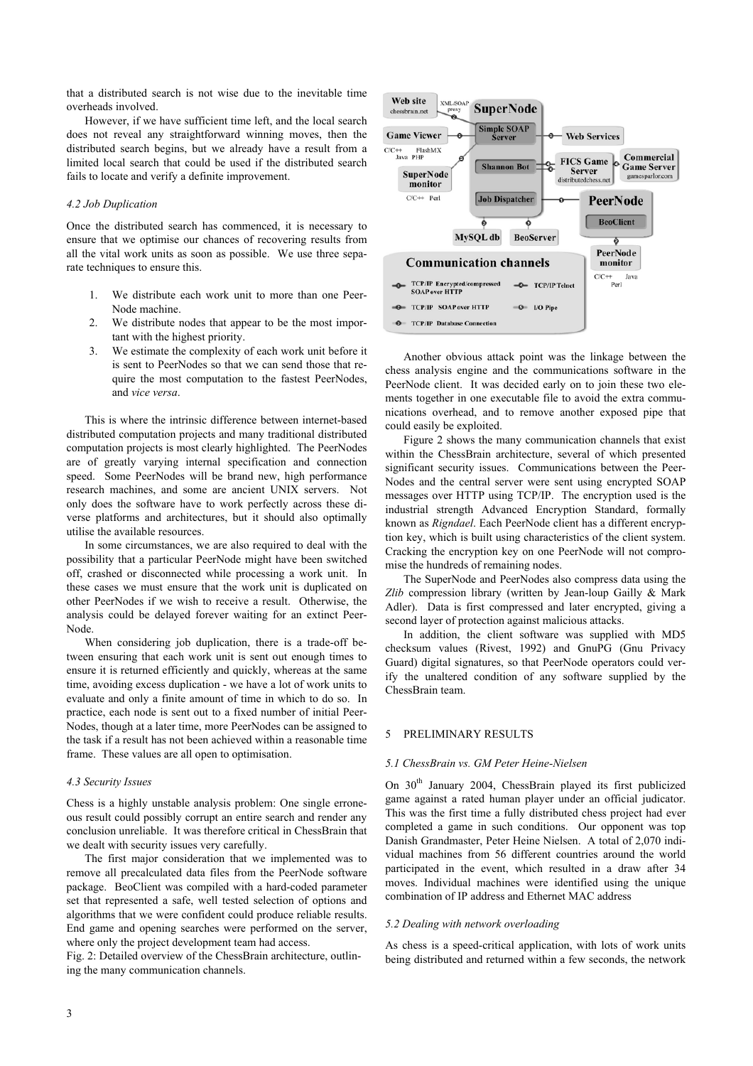that a distributed search is not wise due to the inevitable time overheads involved.

However, if we have sufficient time left, and the local search does not reveal any straightforward winning moves, then the distributed search begins, but we already have a result from a limited local search that could be used if the distributed search fails to locate and verify a definite improvement.

# *4.2 Job Duplication*

Once the distributed search has commenced, it is necessary to ensure that we optimise our chances of recovering results from all the vital work units as soon as possible. We use three separate techniques to ensure this.

- 1. We distribute each work unit to more than one Peer-Node machine.
- 2. We distribute nodes that appear to be the most important with the highest priority.
- 3. We estimate the complexity of each work unit before it is sent to PeerNodes so that we can send those that require the most computation to the fastest PeerNodes, and *vice versa*.

This is where the intrinsic difference between internet-based could easily be exploited. distributed computation projects and many traditional distributed computation projects is most clearly highlighted. The PeerNodes are of greatly varying internal specification and connection speed. Some PeerNodes will be brand new, high performance research machines, and some are ancient UNIX servers. Not only does the software have to work perfectly across these diverse platforms and architectures, but it should also optimally utilise the available resources.

In some circumstances, we are also required to deal with the possibility that a particular PeerNode might have been switched off, crashed or disconnected while processing a work unit. In these cases we must ensure that the work unit is duplicated on other PeerNodes if we wish to receive a result. Otherwise, the analysis could be delayed forever waiting for an extinct Peer-Node.

When considering job duplication, there is a trade-off between ensuring that each work unit is sent out enough times to ensure it is returned efficiently and quickly, whereas at the same time, avoiding excess duplication - we have a lot of work units to evaluate and only a finite amount of time in which to do so. In practice, each node is sent out to a fixed number of initial Peer-Nodes, though at a later time, more PeerNodes can be assigned to the task if a result has not been achieved within a reasonable time frame. These values are all open to optimisation.

Chess is a highly unstable analysis problem: One single erroneous result could possibly corrupt an entire search and render any conclusion unreliable. It was therefore critical in ChessBrain that we dealt with security issues very carefully.

The first major consideration that we implemented was to remove all precalculated data files from the PeerNode software package. BeoClient was compiled with a hard-coded parameter set that represented a safe, well tested selection of options and algorithms that we were confident could produce reliable results. End game and opening searches were performed on the server, where only the project development team had access.

ing the many communication channels.



Another obvious attack point was the linkage between the chess analysis engine and the communications software in the PeerNode client. It was decided early on to join these two elements together in one executable file to avoid the extra communications overhead, and to remove another exposed pipe that

Figure 2 shows the many communication channels that exist within the ChessBrain architecture, several of which presented significant security issues. Communications between the Peer-Nodes and the central server were sent using encrypted SOAP messages over HTTP using TCP/IP. The encryption used is the industrial strength Advanced Encryption Standard, formally known as *Rigndael*. Each PeerNode client has a different encryption key, which is built using characteristics of the client system. Cracking the encryption key on one PeerNode will not compromise the hundreds of remaining nodes.

The SuperNode and PeerNodes also compress data using the *Zlib* compression library (written by Jean-loup Gailly & Mark Adler). Data is first compressed and later encrypted, giving a second layer of protection against malicious attacks.

In addition, the client software was supplied with MD5 checksum values (Rivest, 1992) and GnuPG (Gnu Privacy Guard) digital signatures, so that PeerNode operators could verify the unaltered condition of any software supplied by the ChessBrain team.

#### 5 PRELIMINARY RESULTS

#### *5.1 ChessBrain vs. GM Peter Heine-Nielsen*

*4.3 Security Issues* On 30th January 2004, ChessBrain played its first publicized game against a rated human player under an official judicator. This was the first time a fully distributed chess project had ever completed a game in such conditions. Our opponent was top Danish Grandmaster, Peter Heine Nielsen. A total of 2,070 individual machines from 56 different countries around the world participated in the event, which resulted in a draw after 34 moves. Individual machines were identified using the unique combination of IP address and Ethernet MAC address

#### *5.2 Dealing with network overloading*

As chess is a speed-critical application, with lots of work units Fig. 2: Detailed overview of the ChessBrain architecture, outlin-<br>being distributed and returned within a few seconds, the network